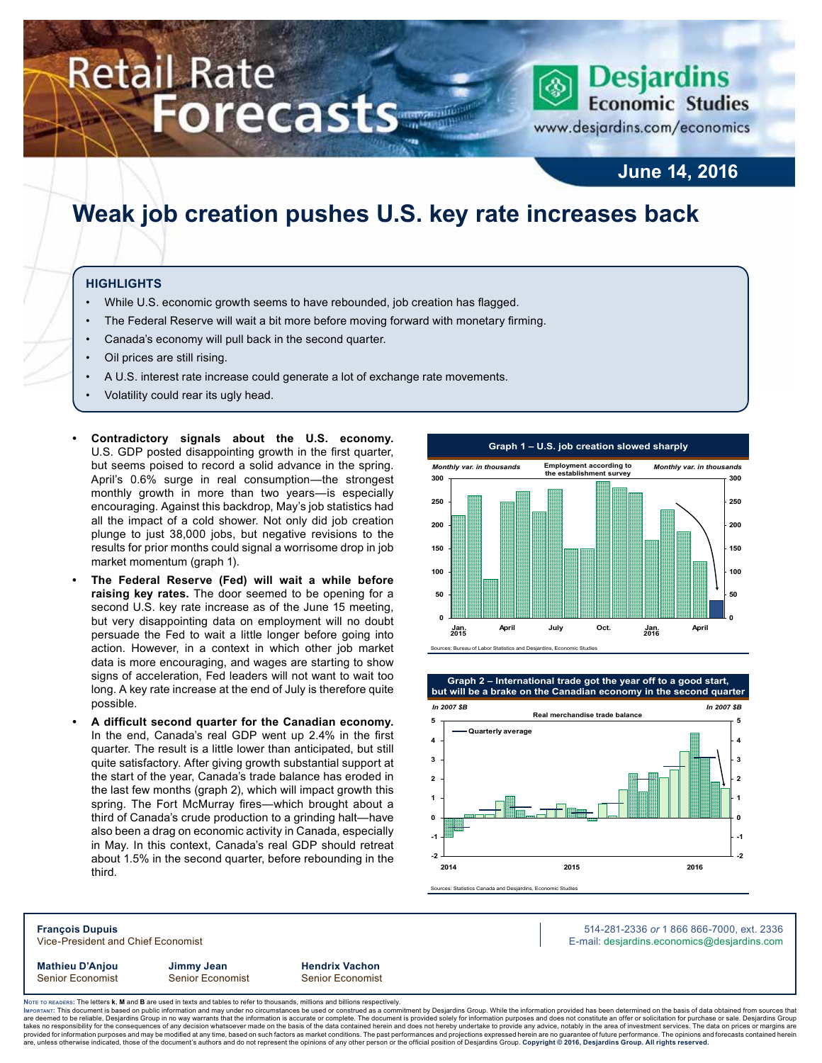# **Retail Rate Forecasts**



www.desjardins.com/economics

### **June 14, 2016**

### **Weak job creation pushes U.S. key rate increases back**

#### **Highlights**

- While U.S. economic growth seems to have rebounded, job creation has flagged.
- The Federal Reserve will wait a bit more before moving forward with monetary firming.
- Canada's economy will pull back in the second quarter.
- Oil prices are still rising.
- A U.S. interest rate increase could generate a lot of exchange rate movements.
- Volatility could rear its ugly head.
- **• Contradictory signals about the U.S. economy.** U.S. GDP posted disappointing growth in the first quarter, but seems poised to record a solid advance in the spring. April's 0.6% surge in real consumption—the strongest monthly growth in more than two years—is especially encouraging. Against this backdrop, May's job statistics had all the impact of a cold shower. Not only did job creation plunge to just 38,000 jobs, but negative revisions to the results for prior months could signal a worrisome drop in job market momentum (graph 1).
- **• The Federal Reserve (Fed) will wait a while before raising key rates.** The door seemed to be opening for a second U.S. key rate increase as of the June 15 meeting, but very disappointing data on employment will no doubt persuade the Fed to wait a little longer before going into action. However, in a context in which other job market data is more encouraging, and wages are starting to show signs of acceleration, Fed leaders will not want to wait too long. A key rate increase at the end of July is therefore quite possible.
- **• A difficult second quarter for the Canadian economy.** In the end, Canada's real GDP went up 2.4% in the first quarter. The result is a little lower than anticipated, but still quite satisfactory. After giving growth substantial support at the start of the year, Canada's trade balance has eroded in the last few months (graph 2), which will impact growth this spring. The Fort McMurray fires—which brought about a third of Canada's crude production to a grinding halt—have also been a drag on economic activity in Canada, especially in May. In this context, Canada's real GDP should retreat about 1.5% in the second quarter, before rebounding in the third.





**Mathieu D'Anjou Jimmy Jean Hendrix Vachon**

Senior Economist Senior Economist Senior Economist

**François Dupuis** 514-281-2336 *or* 1 866 866-7000, ext. 2336 Vice-President and Chief Economist **E-mail: designediate and Chief Economist** E-mail: designediate economics@desjardins.com

Noте то келоекs: The letters **k, M** and **B** are used in texts and tables to refer to thousands, millions and billions respectively.<br>Імроктлит: This document is based on public information and may under no circumstances be are deemed to be reliable, Desjardins Group in no way warrants that the information is accurate or complete. The document is provided solely for information purposes and does not constitute an offer or solicitation for pur takes no responsibility for the consequences of any decision whatsoever made on the basis of the data contained herein and does not hereby undertake to provide any advice, notably in the area of investment services. The da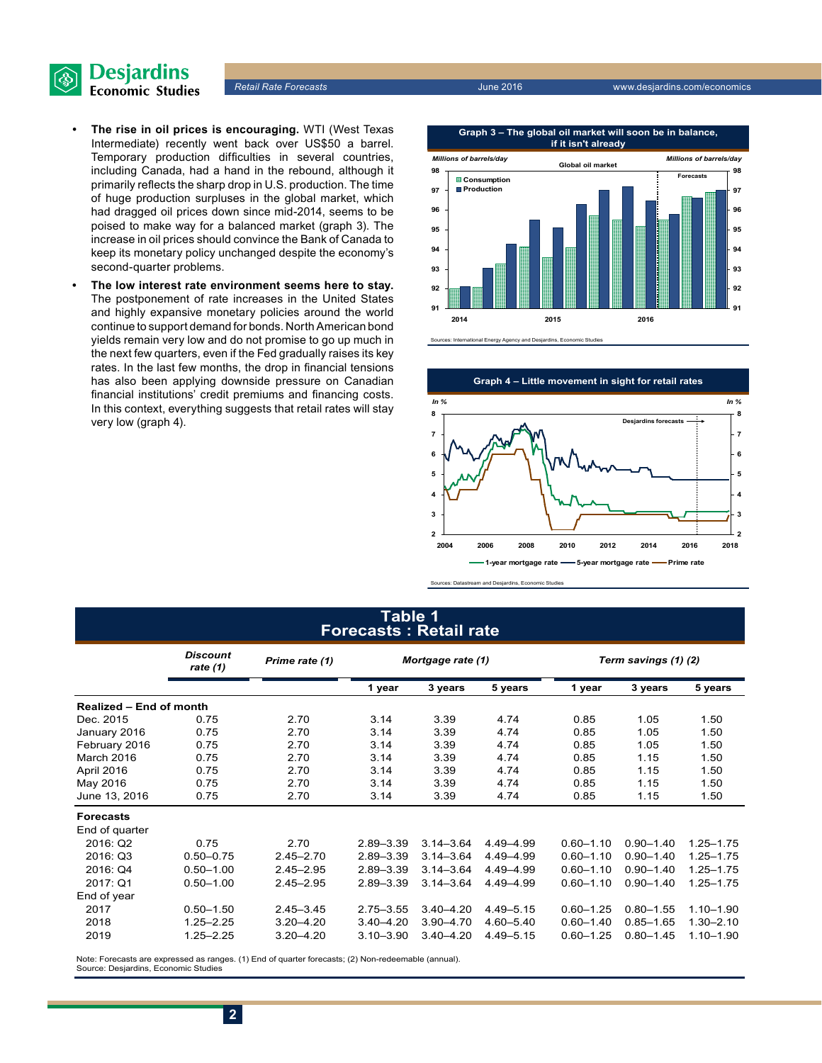

- **• The rise in oil prices is encouraging.** WTI (West Texas Intermediate) recently went back over US\$50 a barrel. Temporary production difficulties in several countries, including Canada, had a hand in the rebound, although it primarily reflects the sharp drop in U.S. production. The time of huge production surpluses in the global market, which had dragged oil prices down since mid-2014, seems to be poised to make way for a balanced market (graph 3). The increase in oil prices should convince the Bank of Canada to keep its monetary policy unchanged despite the economy's second-quarter problems.
- **• The low interest rate environment seems here to stay.** The postponement of rate increases in the United States and highly expansive monetary policies around the world continue to support demand for bonds. North American bond yields remain very low and do not promise to go up much in the next few quarters, even if the Fed gradually raises its key rates. In the last few months, the drop in financial tensions has also been applying downside pressure on Canadian financial institutions' credit premiums and financing costs. In this context, everything suggests that retail rates will stay very low (graph 4).



**Incy and Desjardins, Economic** 



Sources: Datastream and Desjardins, Economic Studies

#### **Table 1 Forecasts : Retail rate**

|                                | <b>Discount</b><br>rate (1) | Prime rate (1) |               | Mortgage rate (1) |             |               | Term savings (1) (2) |               |  |  |
|--------------------------------|-----------------------------|----------------|---------------|-------------------|-------------|---------------|----------------------|---------------|--|--|
|                                |                             |                | 1 year        | 3 years           | 5 years     | 1 year        | 3 years              | 5 years       |  |  |
| <b>Realized - End of month</b> |                             |                |               |                   |             |               |                      |               |  |  |
| Dec. 2015                      | 0.75                        | 2.70           | 3.14          | 3.39              | 4.74        | 0.85          | 1.05                 | 1.50          |  |  |
| January 2016                   | 0.75                        | 2.70           | 3.14          | 3.39              | 4.74        | 0.85          | 1.05                 | 1.50          |  |  |
| February 2016                  | 0.75                        | 2.70           | 3.14          | 3.39              | 4.74        | 0.85          | 1.05                 | 1.50          |  |  |
| March 2016                     | 0.75                        | 2.70           | 3.14          | 3.39              | 4.74        | 0.85          | 1.15                 | 1.50          |  |  |
| April 2016                     | 0.75                        | 2.70           | 3.14          | 3.39              | 4.74        | 0.85          | 1.15                 | 1.50          |  |  |
| May 2016                       | 0.75                        | 2.70           | 3.14          | 3.39              | 4.74        | 0.85          | 1.15                 | 1.50          |  |  |
| June 13, 2016                  | 0.75                        | 2.70           | 3.14          | 3.39              | 4.74        | 0.85          | 1.15                 | 1.50          |  |  |
| <b>Forecasts</b>               |                             |                |               |                   |             |               |                      |               |  |  |
| End of quarter                 |                             |                |               |                   |             |               |                      |               |  |  |
| 2016: Q2                       | 0.75                        | 2.70           | $2.89 - 3.39$ | $3.14 - 3.64$     | 4.49 - 4.99 | $0.60 - 1.10$ | $0.90 - 1.40$        | $1.25 - 1.75$ |  |  |
| 2016: Q3                       | $0.50 - 0.75$               | $2.45 - 2.70$  | $2.89 - 3.39$ | $3.14 - 3.64$     | 4.49 - 4.99 | $0.60 - 1.10$ | $0.90 - 1.40$        | 1.25-1.75     |  |  |
| 2016: Q4                       | $0.50 - 1.00$               | $2.45 - 2.95$  | $2.89 - 3.39$ | $3.14 - 3.64$     | 4.49 - 4.99 | $0.60 - 1.10$ | $0.90 - 1.40$        | 1.25-1.75     |  |  |
| 2017: Q1                       | $0.50 - 1.00$               | $2.45 - 2.95$  | $2.89 - 3.39$ | $3.14 - 3.64$     | 4.49 - 4.99 | $0.60 - 1.10$ | $0.90 - 1.40$        | $1.25 - 1.75$ |  |  |
| End of year                    |                             |                |               |                   |             |               |                      |               |  |  |
| 2017                           | $0.50 - 1.50$               | $2.45 - 3.45$  | $2.75 - 3.55$ | $3.40 - 4.20$     | 4.49 - 5.15 | $0.60 - 1.25$ | $0.80 - 1.55$        | $1.10 - 1.90$ |  |  |
| 2018                           | $1.25 - 2.25$               | $3.20 - 4.20$  | $3.40 - 4.20$ | $3.90 - 4.70$     | 4.60-5.40   | $0.60 - 1.40$ | $0.85 - 1.65$        | $1.30 - 2.10$ |  |  |
| 2019                           | $1.25 - 2.25$               | $3.20 - 4.20$  | $3.10 - 3.90$ | $3.40 - 4.20$     | 4.49 - 5.15 | $0.60 - 1.25$ | $0.80 - 1.45$        | $1.10 - 1.90$ |  |  |

Note: Forecasts are expressed as ranges. (1) End of quarter forecasts; (2) Non-redeemable (annual). Source: Desjardins, Economic Studies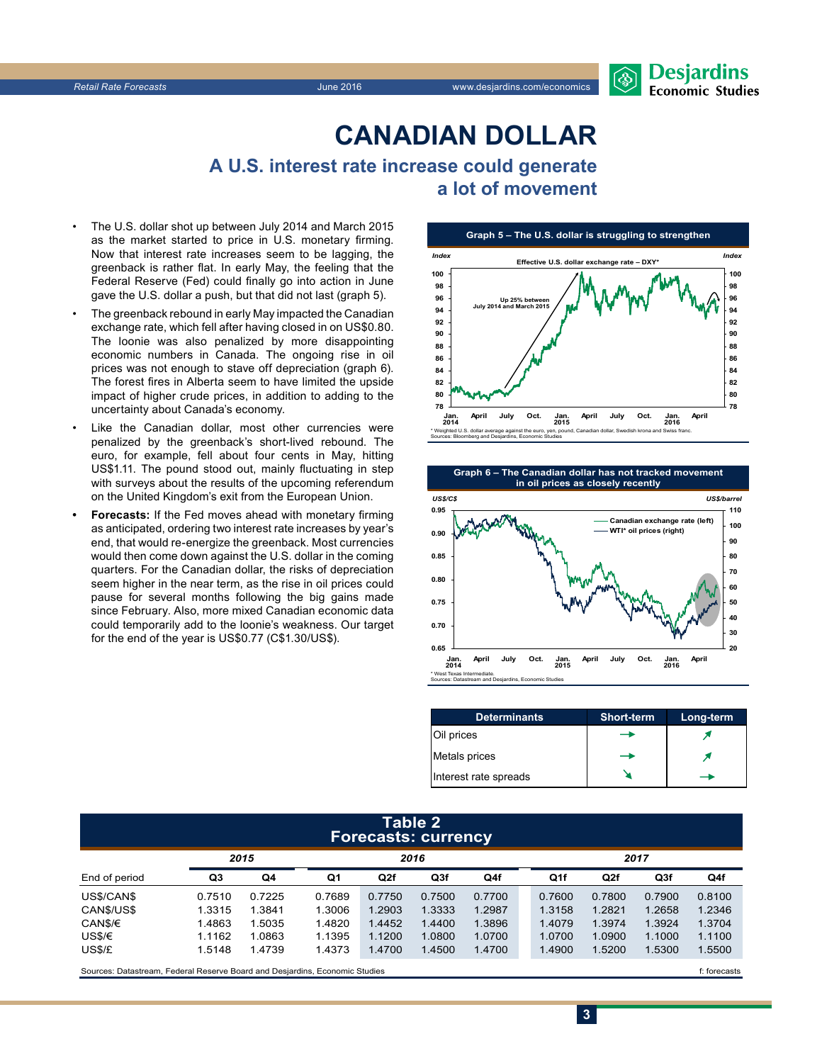

### **CanadiAn Dollar**

**A U.S. interest rate increase could generate a lot of movement**

- The U.S. dollar shot up between July 2014 and March 2015 as the market started to price in U.S. monetary firming. Now that interest rate increases seem to be lagging, the greenback is rather flat. In early May, the feeling that the Federal Reserve (Fed) could finally go into action in June gave the U.S. dollar a push, but that did not last (graph 5).
- The greenback rebound in early May impacted the Canadian exchange rate, which fell after having closed in on US\$0.80. The loonie was also penalized by more disappointing economic numbers in Canada. The ongoing rise in oil prices was not enough to stave off depreciation (graph 6). The forest fires in Alberta seem to have limited the upside impact of higher crude prices, in addition to adding to the uncertainty about Canada's economy.
- Like the Canadian dollar, most other currencies were penalized by the greenback's short-lived rebound. The euro, for example, fell about four cents in May, hitting US\$1.11. The pound stood out, mainly fluctuating in step with surveys about the results of the upcoming referendum on the United Kingdom's exit from the European Union.
- **• Forecasts:** If the Fed moves ahead with monetary firming as anticipated, ordering two interest rate increases by year's end, that would re-energize the greenback. Most currencies would then come down against the U.S. dollar in the coming quarters. For the Canadian dollar, the risks of depreciation seem higher in the near term, as the rise in oil prices could pause for several months following the big gains made since February. Also, more mixed Canadian economic data could temporarily add to the loonie's weakness. Our target for the end of the year is US\$0.77 (C\$1.30/US\$).





| <b>Determinants</b>   | <b>Short-term</b> | Long-term |
|-----------------------|-------------------|-----------|
| Oil prices            |                   |           |
| Metals prices         | ╼                 |           |
| Interest rate spreads |                   |           |

#### **Table 2 Forecasts: currency**

|               | 2015   |        |        | 2016   |        |        | 2017   |        |                 |        |
|---------------|--------|--------|--------|--------|--------|--------|--------|--------|-----------------|--------|
| End of period | Q3     | Q4     | Q1     | Q2f    | Q3f    | Q4f    | Q1f    | Q2f    | Q <sub>3f</sub> | Q4f    |
| US\$/CAN\$    | 0.7510 | 0.7225 | 0.7689 | 0.7750 | 0.7500 | 0.7700 | 0.7600 | 0.7800 | 0.7900          | 0.8100 |
| CAN\$/US\$    | 1.3315 | 1.3841 | 1.3006 | 1.2903 | 1.3333 | 1.2987 | 1.3158 | 1.2821 | 1.2658          | 1.2346 |
| CAN\$/€       | 1.4863 | .5035  | 1.4820 | 1.4452 | 1.4400 | 1.3896 | 1.4079 | 1.3974 | 1.3924          | 1.3704 |
| USS/E         | 1.1162 | 1.0863 | 1.1395 | 1.1200 | 1.0800 | 1.0700 | 1.0700 | 1.0900 | 1.1000          | 1.1100 |
| USS/E         | 1.5148 | 1.4739 | 1.4373 | 1.4700 | 1.4500 | 1.4700 | 1.4900 | 1.5200 | 1.5300          | 1.5500 |
|               |        |        |        |        |        |        |        |        |                 |        |

Sources: Datastream, Federal Reserve Board and Desjardins, Economic Studies files for example of the studies files for example of the casts

**3**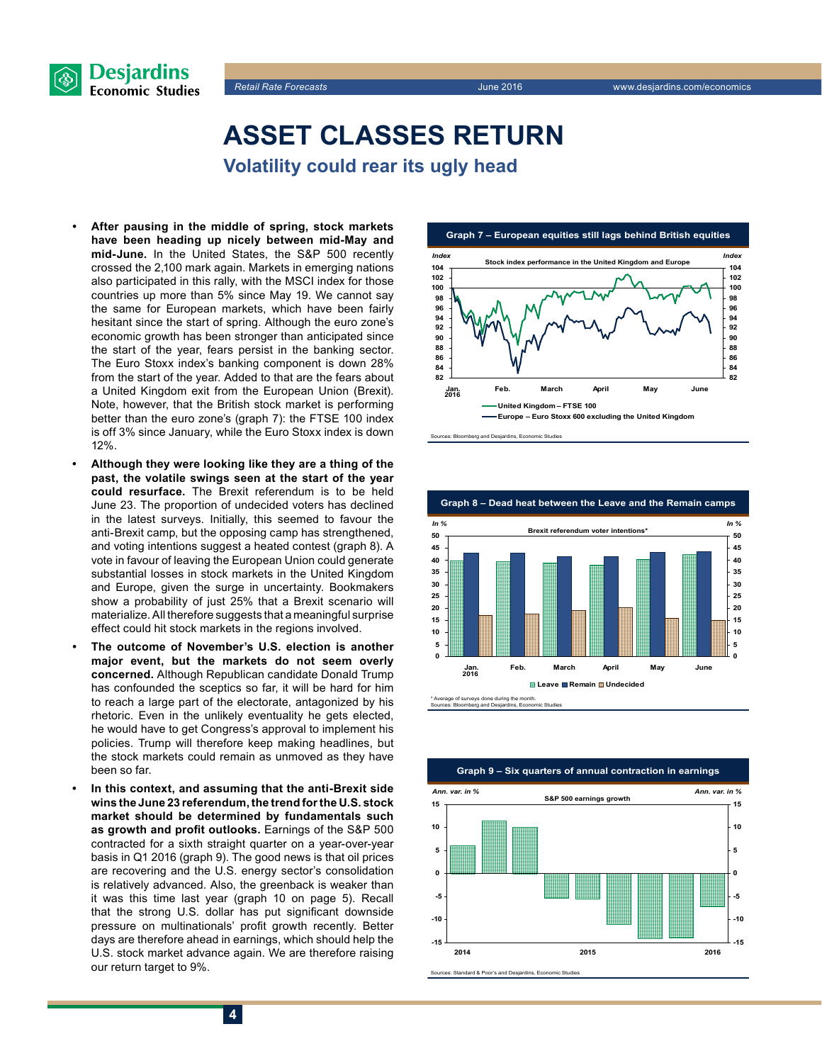



## **Asset classes return**

**Volatility could rear its ugly head**

- **• After pausing in the middle of spring, stock markets have been heading up nicely between mid-May and mid-June.** In the United States, the S&P 500 recently crossed the 2,100 mark again. Markets in emerging nations also participated in this rally, with the MSCI index for those countries up more than 5% since May 19. We cannot say the same for European markets, which have been fairly hesitant since the start of spring. Although the euro zone's economic growth has been stronger than anticipated since the start of the year, fears persist in the banking sector. The Euro Stoxx index's banking component is down 28% from the start of the year. Added to that are the fears about a United Kingdom exit from the European Union (Brexit). Note, however, that the British stock market is performing better than the euro zone's (graph 7): the FTSE 100 index is off 3% since January, while the Euro Stoxx index is down 12%.
- **• Although they were looking like they are a thing of the past, the volatile swings seen at the start of the year could resurface.** The Brexit referendum is to be held June 23. The proportion of undecided voters has declined in the latest surveys. Initially, this seemed to favour the anti-Brexit camp, but the opposing camp has strengthened, and voting intentions suggest a heated contest (graph 8). A vote in favour of leaving the European Union could generate substantial losses in stock markets in the United Kingdom and Europe, given the surge in uncertainty. Bookmakers show a probability of just 25% that a Brexit scenario will materialize. All therefore suggests that a meaningful surprise effect could hit stock markets in the regions involved.
- **• The outcome of November's U.S. election is another major event, but the markets do not seem overly concerned.** Although Republican candidate Donald Trump has confounded the sceptics so far, it will be hard for him to reach a large part of the electorate, antagonized by his rhetoric. Even in the unlikely eventuality he gets elected, he would have to get Congress's approval to implement his policies. Trump will therefore keep making headlines, but the stock markets could remain as unmoved as they have been so far.
- **• In this context, and assuming that the anti-Brexit side wins the June 23 referendum, the trend for the U.S. stock market should be determined by fundamentals such as growth and profit outlooks.** Earnings of the S&P 500 contracted for a sixth straight quarter on a year-over-year basis in Q1 2016 (graph 9). The good news is that oil prices are recovering and the U.S. energy sector's consolidation is relatively advanced. Also, the greenback is weaker than it was this time last year (graph 10 on page 5). Recall that the strong U.S. dollar has put significant downside pressure on multinationals' profit growth recently. Better days are therefore ahead in earnings, which should help the U.S. stock market advance again. We are therefore raising our return target to 9%.





\* Average of surveys done during the month. Sources: Bloomberg and Desjardins, Economic Studies

**Graph 9 – Six quarters of annual contraction in earnings -15 -10 -5 0 5 10 15 2014 2015 2016 -15 -10 -5 0 5 10 <sup>15</sup> S&P 500 earnings growth** *Ann. var. in % Ann. var. in %*



**4**